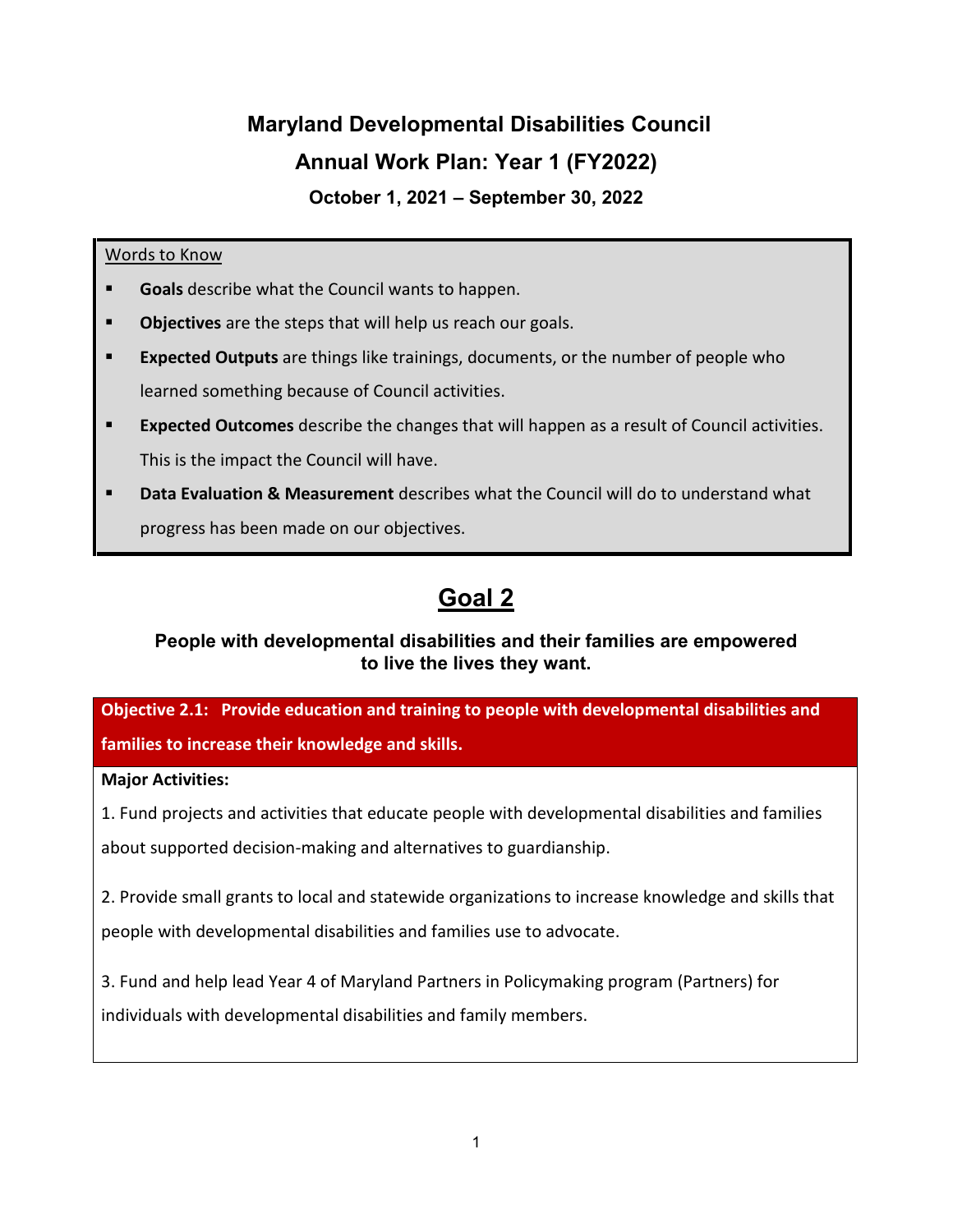# **Maryland Developmental Disabilities Council Annual Work Plan: Year 1 (FY2022)**

**October 1, 2021 – September 30, 2022**

## Words to Know

- **Goals** describe what the Council wants to happen.
- **Dbjectives** are the steps that will help us reach our goals.
- **Expected Outputs** are things like trainings, documents, or the number of people who learned something because of Council activities.
- **Expected Outcomes** describe the changes that will happen as a result of Council activities. This is the impact the Council will have.
- **Data Evaluation & Measurement** describes what the Council will do to understand what progress has been made on our objectives.

## **Goal 2**

## **People with developmental disabilities and their families are empowered to live the lives they want.**

**Objective 2.1: Provide education and training to people with developmental disabilities and families to increase their knowledge and skills.**

## **Major Activities:**

1. Fund projects and activities that educate people with developmental disabilities and families

about supported decision-making and alternatives to guardianship.

2. Provide small grants to local and statewide organizations to increase knowledge and skills that people with developmental disabilities and families use to advocate.

3. Fund and help lead Year 4 of Maryland Partners in Policymaking program (Partners) for

individuals with developmental disabilities and family members.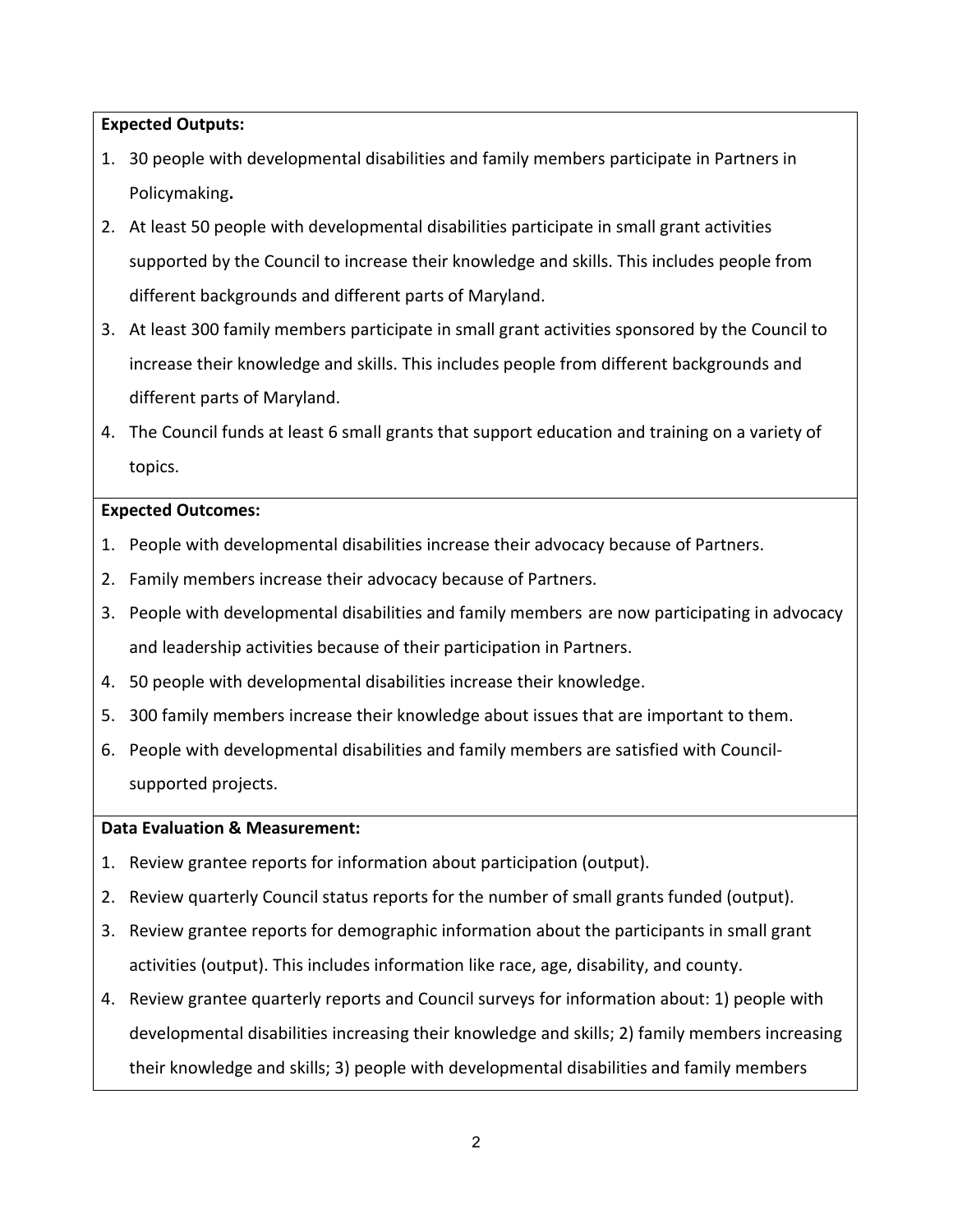**Expected Outputs:**

- 1. 30 people with developmental disabilities and family members participate in Partners in Policymaking**.**
- 2. At least 50 people with developmental disabilities participate in small grant activities supported by the Council to increase their knowledge and skills. This includes people from different backgrounds and different parts of Maryland.
- 3. At least 300 family members participate in small grant activities sponsored by the Council to increase their knowledge and skills. This includes people from different backgrounds and different parts of Maryland.
- 4. The Council funds at least 6 small grants that support education and training on a variety of topics.

## **Expected Outcomes:**

- 1. People with developmental disabilities increase their advocacy because of Partners.
- 2. Family members increase their advocacy because of Partners.
- 3. People with developmental disabilities and family members are now participating in advocacy and leadership activities because of their participation in Partners.
- 4. 50 people with developmental disabilities increase their knowledge.
- 5. 300 family members increase their knowledge about issues that are important to them.
- 6. People with developmental disabilities and family members are satisfied with Councilsupported projects.

## **Data Evaluation & Measurement:**

- 1. Review grantee reports for information about participation (output).
- 2. Review quarterly Council status reports for the number of small grants funded (output).
- 3. Review grantee reports for demographic information about the participants in small grant activities (output). This includes information like race, age, disability, and county.
- 4. Review grantee quarterly reports and Council surveys for information about: 1) people with developmental disabilities increasing their knowledge and skills; 2) family members increasing their knowledge and skills; 3) people with developmental disabilities and family members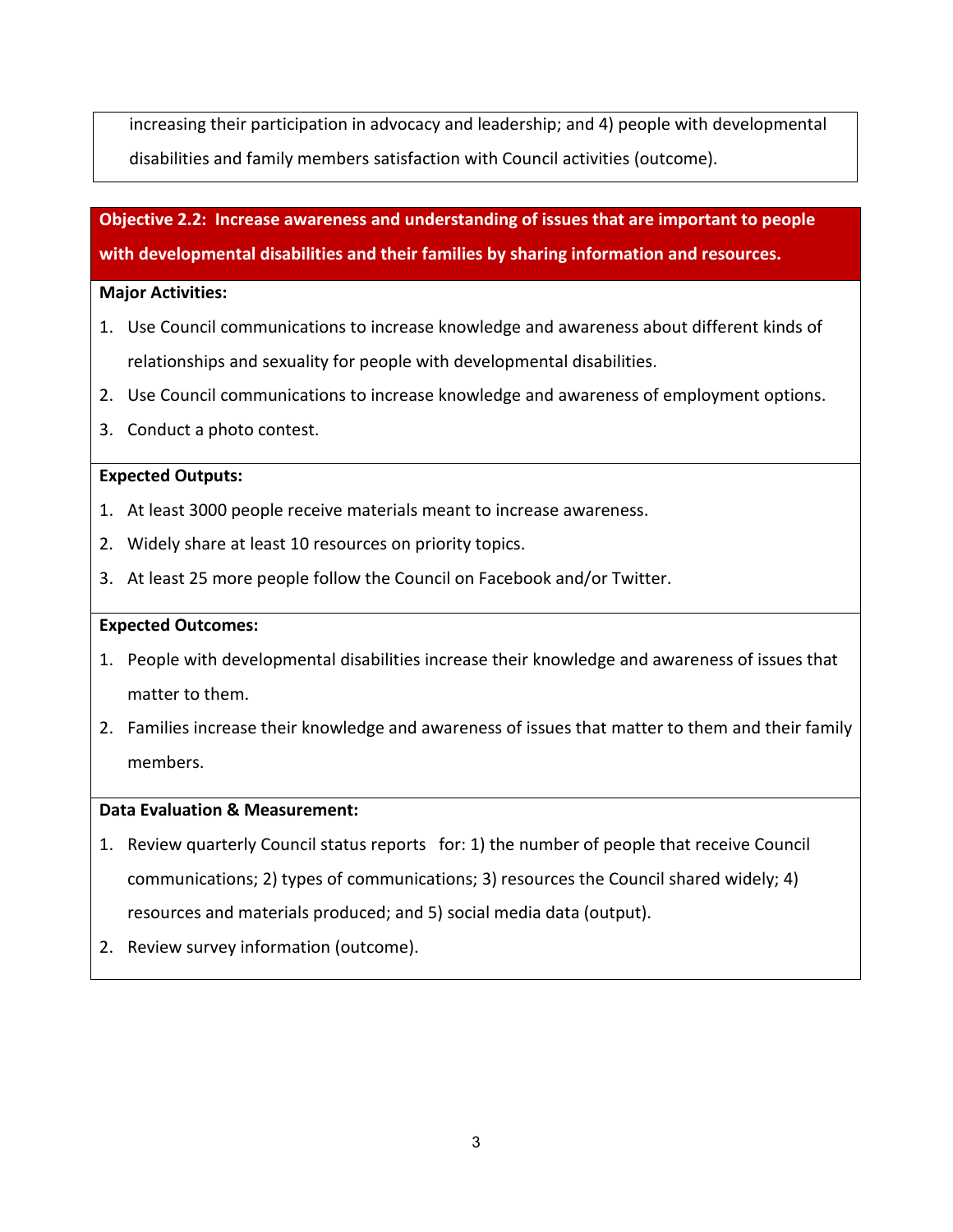increasing their participation in advocacy and leadership; and 4) people with developmental disabilities and family members satisfaction with Council activities (outcome).

**Objective 2.2: Increase awareness and understanding of issues that are important to people with developmental disabilities and their families by sharing information and resources.**

#### **Major Activities:**

- 1. Use Council communications to increase knowledge and awareness about different kinds of relationships and sexuality for people with developmental disabilities.
- 2. Use Council communications to increase knowledge and awareness of employment options.
- 3. Conduct a photo contest.

#### **Expected Outputs:**

- 1. At least 3000 people receive materials meant to increase awareness.
- 2. Widely share at least 10 resources on priority topics.
- 3. At least 25 more people follow the Council on Facebook and/or Twitter.

#### **Expected Outcomes:**

- 1. People with developmental disabilities increase their knowledge and awareness of issues that matter to them.
- 2. Families increase their knowledge and awareness of issues that matter to them and their family members.

#### **Data Evaluation & Measurement:**

- 1. Review quarterly Council status reports for: 1) the number of people that receive Council communications; 2) types of communications; 3) resources the Council shared widely; 4) resources and materials produced; and 5) social media data (output).
- 2. Review survey information (outcome).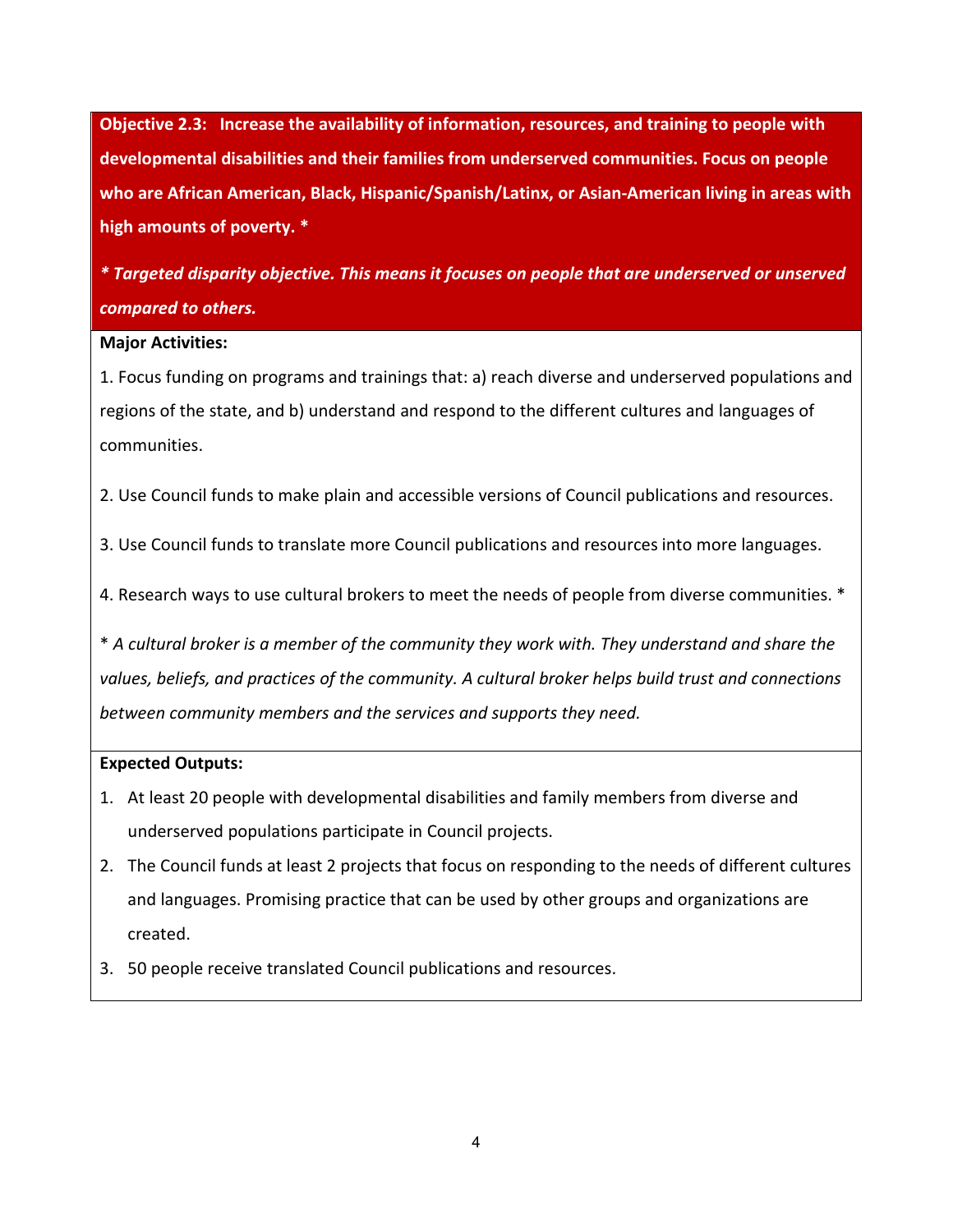**Objective 2.3: Increase the availability of information, resources, and training to people with developmental disabilities and their families from underserved communities. Focus on people who are African American, Black, Hispanic/Spanish/Latinx, or Asian-American living in areas with high amounts of poverty. \*** 

*\* Targeted disparity objective. This means it focuses on people that are underserved or unserved compared to others.*

#### **Major Activities:**

1. Focus funding on programs and trainings that: a) reach diverse and underserved populations and regions of the state, and b) understand and respond to the different cultures and languages of communities.

2. Use Council funds to make plain and accessible versions of Council publications and resources.

- 3. Use Council funds to translate more Council publications and resources into more languages.
- 4. Research ways to use cultural brokers to meet the needs of people from diverse communities. \*

\* *A cultural broker is a member of the community they work with. They understand and share the values, beliefs, and practices of the community. A cultural broker helps build trust and connections between community members and the services and supports they need.*

#### **Expected Outputs:**

- 1. At least 20 people with developmental disabilities and family members from diverse and underserved populations participate in Council projects.
- 2. The Council funds at least 2 projects that focus on responding to the needs of different cultures and languages. Promising practice that can be used by other groups and organizations are created.
- 3. 50 people receive translated Council publications and resources.